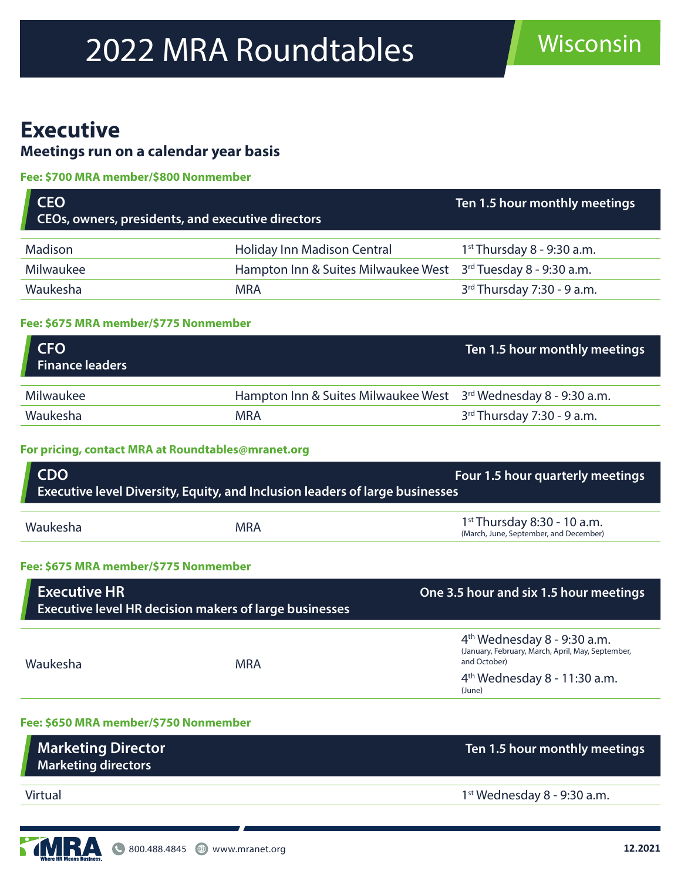# 2022 MRA Roundtables Misconsin

## **Executive**

### **Meetings run on a calendar year basis**

#### **Fee: \$700 MRA member/\$800 Nonmember**

| <b>CEO</b><br>CEOs, owners, presidents, and executive directors |                                                               | Ten 1.5 hour monthly meetings |
|-----------------------------------------------------------------|---------------------------------------------------------------|-------------------------------|
|                                                                 |                                                               |                               |
| Madison                                                         | Holiday Inn Madison Central                                   | $1st$ Thursday 8 - 9:30 a.m.  |
| Milwaukee                                                       | Hampton Inn & Suites Milwaukee West 3rd Tuesday 8 - 9:30 a.m. |                               |
| Waukesha                                                        | <b>MRA</b>                                                    | 3rd Thursday 7:30 - 9 a.m.    |
|                                                                 |                                                               |                               |

#### **Fee: \$675 MRA member/\$775 Nonmember**

| <b>CFO</b><br>Finance leaders |                                                                 | Ten 1.5 hour monthly meetings |
|-------------------------------|-----------------------------------------------------------------|-------------------------------|
|                               |                                                                 |                               |
| Milwaukee                     | Hampton Inn & Suites Milwaukee West 3rd Wednesday 8 - 9:30 a.m. |                               |
| Waukesha                      | MRA                                                             | $3rd$ Thursday 7:30 - 9 a.m.  |

#### **For pricing, contact MRA at Roundtables@mranet.org**

| <b>CDO</b><br>Executive level Diversity, Equity, and Inclusion leaders of large businesses |            | Four 1.5 hour quarterly meetings                                        |
|--------------------------------------------------------------------------------------------|------------|-------------------------------------------------------------------------|
|                                                                                            |            |                                                                         |
| Waukesha                                                                                   | <b>MRA</b> | $1st$ Thursday 8:30 - 10 a.m.<br>(March, June, September, and December) |

#### **Fee: \$675 MRA member/\$775 Nonmember**

| <b>Executive HR</b><br><b>Executive level HR decision makers of large businesses</b> |            | One 3.5 hour and six 1.5 hour meetings                                                             |
|--------------------------------------------------------------------------------------|------------|----------------------------------------------------------------------------------------------------|
| Waukesha                                                                             | <b>MRA</b> | $4th$ Wednesday 8 - 9:30 a.m.<br>(January, February, March, April, May, September,<br>and October) |
|                                                                                      |            | $4th$ Wednesday 8 - 11:30 a.m.<br>(June)                                                           |

#### **Fee: \$650 MRA member/\$750 Nonmember**

| <b>Marketing Director</b><br><b>Marketing directors</b> | Ten 1.5 hour monthly meetings |
|---------------------------------------------------------|-------------------------------|
|                                                         |                               |
| Virtual                                                 | $1st$ Wednesday 8 - 9:30 a.m. |